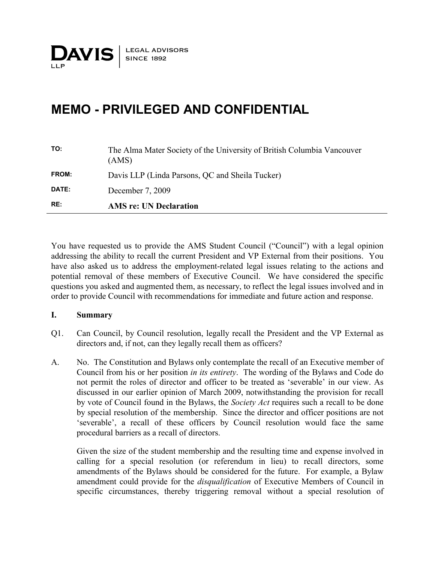### **MEMO - PRIVILEGED AND CONFIDENTIAL**

| RE:          | <b>AMS</b> re: UN Declaration                                                   |
|--------------|---------------------------------------------------------------------------------|
| DATE:        | December 7, 2009                                                                |
| <b>FROM:</b> | Davis LLP (Linda Parsons, QC and Sheila Tucker)                                 |
| TO:          | The Alma Mater Society of the University of British Columbia Vancouver<br>(AMS) |

You have requested us to provide the AMS Student Council ("Council") with a legal opinion addressing the ability to recall the current President and VP External from their positions. You have also asked us to address the employment-related legal issues relating to the actions and potential removal of these members of Executive Council. We have considered the specific questions you asked and augmented them, as necessary, to reflect the legal issues involved and in order to provide Council with recommendations for immediate and future action and response.

#### **I. Summary**

- Q1. Can Council, by Council resolution, legally recall the President and the VP External as directors and, if not, can they legally recall them as officers?
- A. No. The Constitution and Bylaws only contemplate the recall of an Executive member of Council from his or her position *in its entirety*. The wording of the Bylaws and Code do not permit the roles of director and officer to be treated as 'severable' in our view. As discussed in our earlier opinion of March 2009, notwithstanding the provision for recall by vote of Council found in the Bylaws, the *Society Act* requires such a recall to be done by special resolution of the membership. Since the director and officer positions are not 'severable', a recall of these officers by Council resolution would face the same procedural barriers as a recall of directors.

Given the size of the student membership and the resulting time and expense involved in calling for a special resolution (or referendum in lieu) to recall directors, some amendments of the Bylaws should be considered for the future. For example, a Bylaw amendment could provide for the *disqualification* of Executive Members of Council in specific circumstances, thereby triggering removal without a special resolution of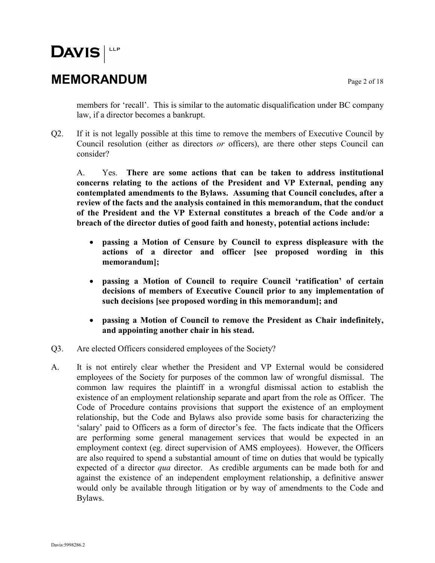### **MEMORANDUM** Page 2 of 18

members for 'recall'. This is similar to the automatic disqualification under BC company law, if a director becomes a bankrupt.

Q2. If it is not legally possible at this time to remove the members of Executive Council by Council resolution (either as directors *or* officers), are there other steps Council can consider?

A. Yes. **There are some actions that can be taken to address institutional concerns relating to the actions of the President and VP External, pending any contemplated amendments to the Bylaws. Assuming that Council concludes, after a review of the facts and the analysis contained in this memorandum, that the conduct of the President and the VP External constitutes a breach of the Code and/or a breach of the director duties of good faith and honesty, potential actions include:**

- **passing a Motion of Censure by Council to express displeasure with the actions of a director and officer [see proposed wording in this memorandum];**
- **passing a Motion of Council to require Council 'ratification' of certain decisions of members of Executive Council prior to any implementation of such decisions [see proposed wording in this memorandum]; and**
- **passing a Motion of Council to remove the President as Chair indefinitely, and appointing another chair in his stead.**
- Q3. Are elected Officers considered employees of the Society?
- A. It is not entirely clear whether the President and VP External would be considered employees of the Society for purposes of the common law of wrongful dismissal. The common law requires the plaintiff in a wrongful dismissal action to establish the existence of an employment relationship separate and apart from the role as Officer. The Code of Procedure contains provisions that support the existence of an employment relationship, but the Code and Bylaws also provide some basis for characterizing the 'salary' paid to Officers as a form of director's fee. The facts indicate that the Officers are performing some general management services that would be expected in an employment context (eg. direct supervision of AMS employees). However, the Officers are also required to spend a substantial amount of time on duties that would be typically expected of a director *qua* director. As credible arguments can be made both for and against the existence of an independent employment relationship, a definitive answer would only be available through litigation or by way of amendments to the Code and Bylaws.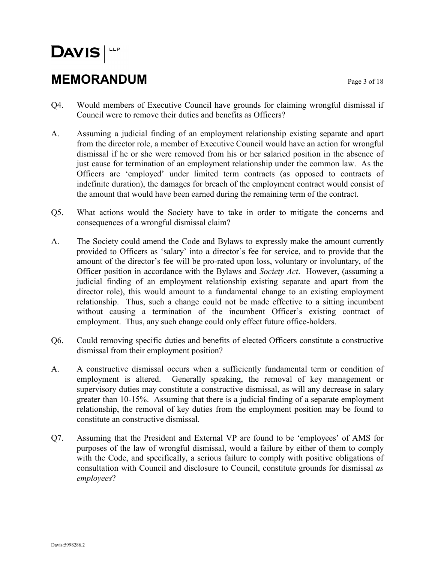### **MEMORANDUM** Page 3 of 18

- Q4. Would members of Executive Council have grounds for claiming wrongful dismissal if Council were to remove their duties and benefits as Officers?
- A. Assuming a judicial finding of an employment relationship existing separate and apart from the director role, a member of Executive Council would have an action for wrongful dismissal if he or she were removed from his or her salaried position in the absence of just cause for termination of an employment relationship under the common law. As the Officers are 'employed' under limited term contracts (as opposed to contracts of indefinite duration), the damages for breach of the employment contract would consist of the amount that would have been earned during the remaining term of the contract.
- Q5. What actions would the Society have to take in order to mitigate the concerns and consequences of a wrongful dismissal claim?
- A. The Society could amend the Code and Bylaws to expressly make the amount currently provided to Officers as 'salary' into a director's fee for service, and to provide that the amount of the director's fee will be pro-rated upon loss, voluntary or involuntary, of the Officer position in accordance with the Bylaws and *Society Act*. However, (assuming a judicial finding of an employment relationship existing separate and apart from the director role), this would amount to a fundamental change to an existing employment relationship. Thus, such a change could not be made effective to a sitting incumbent without causing a termination of the incumbent Officer's existing contract of employment. Thus, any such change could only effect future office-holders.
- Q6. Could removing specific duties and benefits of elected Officers constitute a constructive dismissal from their employment position?
- A. A constructive dismissal occurs when a sufficiently fundamental term or condition of employment is altered. Generally speaking, the removal of key management or supervisory duties may constitute a constructive dismissal, as will any decrease in salary greater than 10-15%. Assuming that there is a judicial finding of a separate employment relationship, the removal of key duties from the employment position may be found to constitute an constructive dismissal.
- Q7. Assuming that the President and External VP are found to be 'employees' of AMS for purposes of the law of wrongful dismissal, would a failure by either of them to comply with the Code, and specifically, a serious failure to comply with positive obligations of consultation with Council and disclosure to Council, constitute grounds for dismissal *as employees*?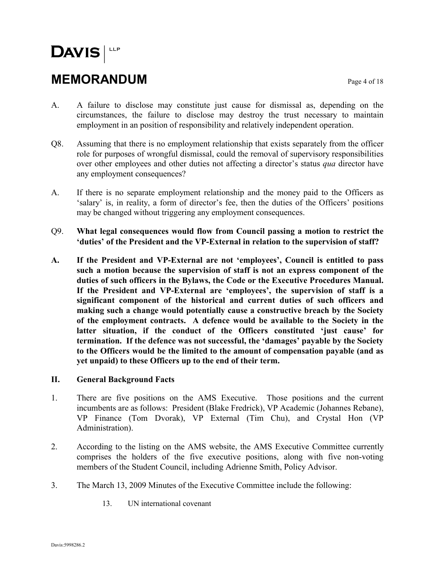### **MEMORANDUM** Page 4 of 18

- A. A failure to disclose may constitute just cause for dismissal as, depending on the circumstances, the failure to disclose may destroy the trust necessary to maintain employment in an position of responsibility and relatively independent operation.
- Q8. Assuming that there is no employment relationship that exists separately from the officer role for purposes of wrongful dismissal, could the removal of supervisory responsibilities over other employees and other duties not affecting a director's status *qua* director have any employment consequences?
- A. If there is no separate employment relationship and the money paid to the Officers as 'salary' is, in reality, a form of director's fee, then the duties of the Officers' positions may be changed without triggering any employment consequences.
- Q9. **What legal consequences would flow from Council passing a motion to restrict the 'duties' of the President and the VP-External in relation to the supervision of staff?**
- **A. If the President and VP-External are not 'employees', Council is entitled to pass such a motion because the supervision of staff is not an express component of the duties of such officers in the Bylaws, the Code or the Executive Procedures Manual. If the President and VP-External are 'employees', the supervision of staff is a significant component of the historical and current duties of such officers and making such a change would potentially cause a constructive breach by the Society of the employment contracts. A defence would be available to the Society in the latter situation, if the conduct of the Officers constituted 'just cause' for termination. If the defence was not successful, the 'damages' payable by the Society to the Officers would be the limited to the amount of compensation payable (and as yet unpaid) to these Officers up to the end of their term.**

#### **II. General Background Facts**

- 1. There are five positions on the AMS Executive. Those positions and the current incumbents are as follows: President (Blake Fredrick), VP Academic (Johannes Rebane), VP Finance (Tom Dvorak), VP External (Tim Chu), and Crystal Hon (VP Administration).
- 2. According to the listing on the AMS website, the AMS Executive Committee currently comprises the holders of the five executive positions, along with five non-voting members of the Student Council, including Adrienne Smith, Policy Advisor.
- 3. The March 13, 2009 Minutes of the Executive Committee include the following:
	- 13. UN international covenant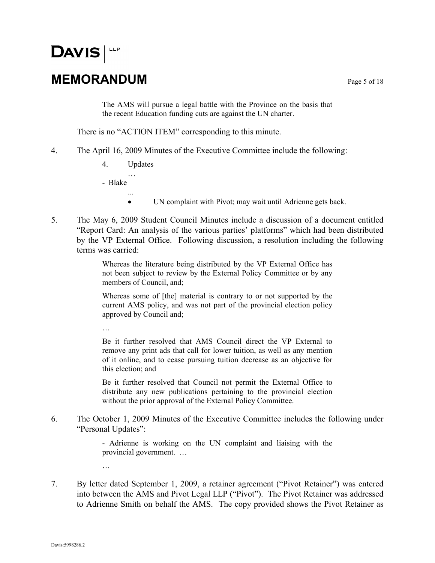### **MEMORANDUM** Page 5 of 18

The AMS will pursue a legal battle with the Province on the basis that the recent Education funding cuts are against the UN charter.

There is no "ACTION ITEM" corresponding to this minute.

- 4. The April 16, 2009 Minutes of the Executive Committee include the following:
	- 4. Updates …

...

- Blake

…

…

- UN complaint with Pivot; may wait until Adrienne gets back.
- 5. The May 6, 2009 Student Council Minutes include a discussion of a document entitled "Report Card: An analysis of the various parties' platforms" which had been distributed by the VP External Office. Following discussion, a resolution including the following terms was carried:

Whereas the literature being distributed by the VP External Office has not been subject to review by the External Policy Committee or by any members of Council, and;

Whereas some of [the] material is contrary to or not supported by the current AMS policy, and was not part of the provincial election policy approved by Council and;

Be it further resolved that AMS Council direct the VP External to remove any print ads that call for lower tuition, as well as any mention of it online, and to cease pursuing tuition decrease as an objective for this election; and

Be it further resolved that Council not permit the External Office to distribute any new publications pertaining to the provincial election without the prior approval of the External Policy Committee.

6. The October 1, 2009 Minutes of the Executive Committee includes the following under "Personal Updates":

> - Adrienne is working on the UN complaint and liaising with the provincial government. …

7. By letter dated September 1, 2009, a retainer agreement ("Pivot Retainer") was entered into between the AMS and Pivot Legal LLP ("Pivot"). The Pivot Retainer was addressed to Adrienne Smith on behalf the AMS. The copy provided shows the Pivot Retainer as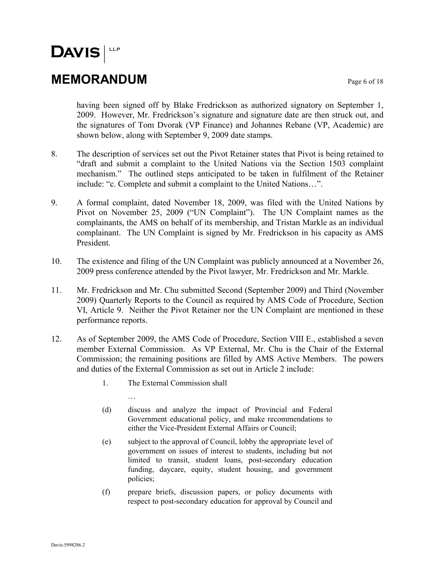### **MEMORANDUM** Page 6 of 18

having been signed off by Blake Fredrickson as authorized signatory on September 1, 2009. However, Mr. Fredrickson's signature and signature date are then struck out, and the signatures of Tom Dvorak (VP Finance) and Johannes Rebane (VP, Academic) are shown below, along with September 9, 2009 date stamps.

- 8. The description of services set out the Pivot Retainer states that Pivot is being retained to "draft and submit a complaint to the United Nations via the Section 1503 complaint mechanism." The outlined steps anticipated to be taken in fulfilment of the Retainer include: "c. Complete and submit a complaint to the United Nations…".
- 9. A formal complaint, dated November 18, 2009, was filed with the United Nations by Pivot on November 25, 2009 ("UN Complaint"). The UN Complaint names as the complainants, the AMS on behalf of its membership, and Tristan Markle as an individual complainant. The UN Complaint is signed by Mr. Fredrickson in his capacity as AMS President.
- 10. The existence and filing of the UN Complaint was publicly announced at a November 26, 2009 press conference attended by the Pivot lawyer, Mr. Fredrickson and Mr. Markle.
- 11. Mr. Fredrickson and Mr. Chu submitted Second (September 2009) and Third (November 2009) Quarterly Reports to the Council as required by AMS Code of Procedure, Section VI, Article 9. Neither the Pivot Retainer nor the UN Complaint are mentioned in these performance reports.
- 12. As of September 2009, the AMS Code of Procedure, Section VIII E., established a seven member External Commission. As VP External, Mr. Chu is the Chair of the External Commission; the remaining positions are filled by AMS Active Members. The powers and duties of the External Commission as set out in Article 2 include:
	- 1. The External Commission shall
		- …
	- (d) discuss and analyze the impact of Provincial and Federal Government educational policy, and make recommendations to either the Vice-President External Affairs or Council;
	- (e) subject to the approval of Council, lobby the appropriate level of government on issues of interest to students, including but not limited to transit, student loans, post-secondary education funding, daycare, equity, student housing, and government policies;
	- (f) prepare briefs, discussion papers, or policy documents with respect to post-secondary education for approval by Council and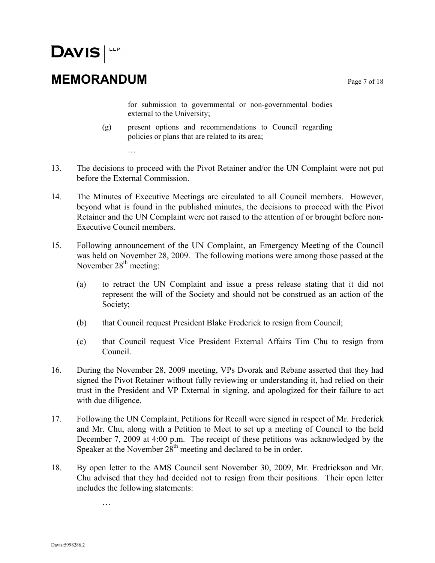### **MEMORANDUM** Page 7 of 18

…

for submission to governmental or non-governmental bodies external to the University;

- (g) present options and recommendations to Council regarding policies or plans that are related to its area;
- 13. The decisions to proceed with the Pivot Retainer and/or the UN Complaint were not put before the External Commission.
- 14. The Minutes of Executive Meetings are circulated to all Council members. However, beyond what is found in the published minutes, the decisions to proceed with the Pivot Retainer and the UN Complaint were not raised to the attention of or brought before non-Executive Council members.
- 15. Following announcement of the UN Complaint, an Emergency Meeting of the Council was held on November 28, 2009. The following motions were among those passed at the November  $28<sup>th</sup>$  meeting:
	- (a) to retract the UN Complaint and issue a press release stating that it did not represent the will of the Society and should not be construed as an action of the Society;
	- (b) that Council request President Blake Frederick to resign from Council;
	- (c) that Council request Vice President External Affairs Tim Chu to resign from Council.
- 16. During the November 28, 2009 meeting, VPs Dvorak and Rebane asserted that they had signed the Pivot Retainer without fully reviewing or understanding it, had relied on their trust in the President and VP External in signing, and apologized for their failure to act with due diligence.
- 17. Following the UN Complaint, Petitions for Recall were signed in respect of Mr. Frederick and Mr. Chu, along with a Petition to Meet to set up a meeting of Council to the held December 7, 2009 at 4:00 p.m. The receipt of these petitions was acknowledged by the Speaker at the November  $28<sup>th</sup>$  meeting and declared to be in order.
- 18. By open letter to the AMS Council sent November 30, 2009, Mr. Fredrickson and Mr. Chu advised that they had decided not to resign from their positions. Their open letter includes the following statements:

…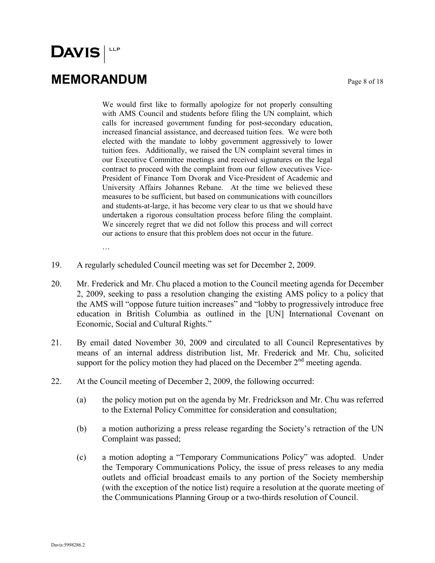**MEMORANDUM** Page 8 of 18

We would first like to formally apologize for not properly consulting with AMS Council and students before filing the UN complaint, which calls for increased government funding for post-secondary education, increased financial assistance, and decreased tuition fees. We were both elected with the mandate to lobby government aggressively to lower tuition fees. Additionally, we raised the UN complaint several times in our Executive Committee meetings and received signatures on the legal contract to proceed with the complaint from our fellow executives Vice-President of Finance Tom Dvorak and Vice-President of Academic and University Affairs Johannes Rebane. At the time we believed these measures to be sufficient, but based on communications with councillors and students-at-large, it has become very clear to us that we should have undertaken a rigorous consultation process before filing the complaint. We sincerely regret that we did not follow this process and will correct our actions to ensure that this problem does not occur in the future.

…

- 19. A regularly scheduled Council meeting was set for December 2, 2009.
- 20. Mr. Frederick and Mr. Chu placed a motion to the Council meeting agenda for December 2, 2009, seeking to pass a resolution changing the existing AMS policy to a policy that the AMS will "oppose future tuition increases" and "lobby to progressively introduce free education in British Columbia as outlined in the [UN] International Covenant on Economic, Social and Cultural Rights."
- 21. By email dated November 30, 2009 and circulated to all Council Representatives by means of an internal address distribution list, Mr. Frederick and Mr. Chu, solicited support for the policy motion they had placed on the December 2<sup>nd</sup> meeting agenda.
- 22. At the Council meeting of December 2, 2009, the following occurred:
	- (a) the policy motion put on the agenda by Mr. Fredrickson and Mr. Chu was referred to the External Policy Committee for consideration and consultation;
	- (b) a motion authorizing a press release regarding the Society's retraction of the UN Complaint was passed;
	- (c) a motion adopting a "Temporary Communications Policy" was adopted. Under the Temporary Communications Policy, the issue of press releases to any media outlets and official broadcast emails to any portion of the Society membership (with the exception of the notice list) require a resolution at the quorate meeting of the Communications Planning Group or a two-thirds resolution of Council.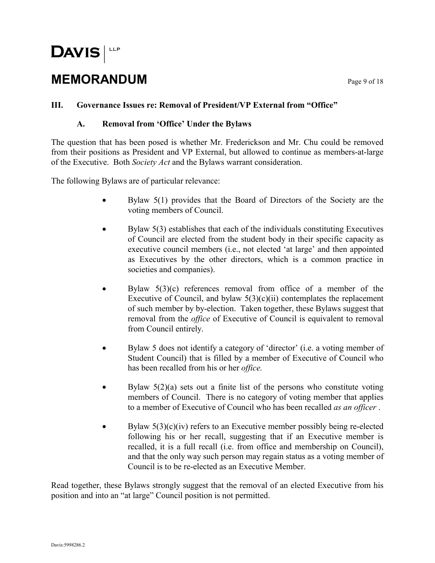### **MEMORANDUM** Page 9 of 18

#### **III. Governance Issues re: Removal of President/VP External from "Office"**

#### **A. Removal from 'Office' Under the Bylaws**

The question that has been posed is whether Mr. Frederickson and Mr. Chu could be removed from their positions as President and VP External, but allowed to continue as members-at-large of the Executive. Both *Society Act* and the Bylaws warrant consideration.

The following Bylaws are of particular relevance:

- Bylaw 5(1) provides that the Board of Directors of the Society are the voting members of Council.
- Bylaw 5(3) establishes that each of the individuals constituting Executives of Council are elected from the student body in their specific capacity as executive council members (i.e., not elected 'at large' and then appointed as Executives by the other directors, which is a common practice in societies and companies).
- $\bullet$  Bylaw 5(3)(c) references removal from office of a member of the Executive of Council, and bylaw  $5(3)(c)(ii)$  contemplates the replacement of such member by by-election. Taken together, these Bylaws suggest that removal from the *office* of Executive of Council is equivalent to removal from Council entirely.
- Bylaw 5 does not identify a category of 'director' (i.e. a voting member of Student Council) that is filled by a member of Executive of Council who has been recalled from his or her *office.*
- Bylaw  $5(2)(a)$  sets out a finite list of the persons who constitute voting members of Council. There is no category of voting member that applies to a member of Executive of Council who has been recalled *as an officer* .
- $\bullet$  Bylaw 5(3)(c)(iv) refers to an Executive member possibly being re-elected following his or her recall, suggesting that if an Executive member is recalled, it is a full recall (i.e. from office and membership on Council), and that the only way such person may regain status as a voting member of Council is to be re-elected as an Executive Member.

Read together, these Bylaws strongly suggest that the removal of an elected Executive from his position and into an "at large" Council position is not permitted.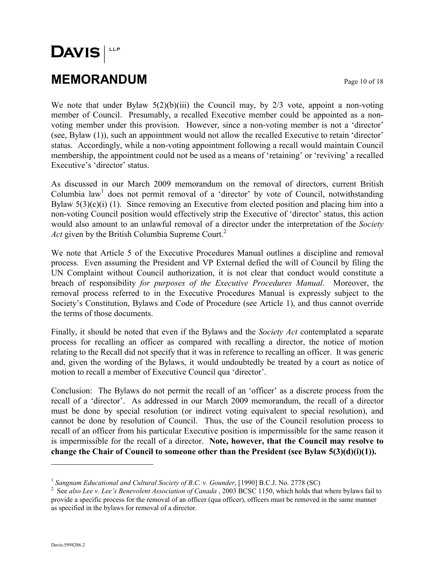### **MEMORANDUM** Page 10 of 18

We note that under Bylaw  $5(2)(b)(iii)$  the Council may, by  $2/3$  vote, appoint a non-voting member of Council. Presumably, a recalled Executive member could be appointed as a nonvoting member under this provision. However, since a non-voting member is not a 'director' (see, Bylaw (1)), such an appointment would not allow the recalled Executive to retain 'director' status. Accordingly, while a non-voting appointment following a recall would maintain Council membership, the appointment could not be used as a means of 'retaining' or 'reviving' a recalled Executive's 'director' status.

As discussed in our March 2009 memorandum on the removal of directors, current British Columbia law<sup>1</sup> does not permit removal of a 'director' by vote of Council, notwithstanding Bylaw  $5(3)(c)(i)$  (1). Since removing an Executive from elected position and placing him into a non-voting Council position would effectively strip the Executive of 'director' status, this action would also amount to an unlawful removal of a director under the interpretation of the *Society*  Act given by the British Columbia Supreme Court.<sup>2</sup>

We note that Article 5 of the Executive Procedures Manual outlines a discipline and removal process. Even assuming the President and VP External defied the will of Council by filing the UN Complaint without Council authorization, it is not clear that conduct would constitute a breach of responsibility *for purposes of the Executive Procedures Manual*. Moreover, the removal process referred to in the Executive Procedures Manual is expressly subject to the Society's Constitution, Bylaws and Code of Procedure (see Article 1), and thus cannot override the terms of those documents.

Finally, it should be noted that even if the Bylaws and the *Society Act* contemplated a separate process for recalling an officer as compared with recalling a director, the notice of motion relating to the Recall did not specify that it was in reference to recalling an officer. It was generic and, given the wording of the Bylaws, it would undoubtedly be treated by a court as notice of motion to recall a member of Executive Council qua 'director'.

Conclusion: The Bylaws do not permit the recall of an 'officer' as a discrete process from the recall of a 'director'. As addressed in our March 2009 memorandum, the recall of a director must be done by special resolution (or indirect voting equivalent to special resolution), and cannot be done by resolution of Council. Thus, the use of the Council resolution process to recall of an officer from his particular Executive position is impermissible for the same reason it is impermissible for the recall of a director. **Note, however, that the Council may resolve to change the Chair of Council to someone other than the President (see Bylaw 5(3)(d)(i)(1)).**

<sup>&</sup>lt;sup>1</sup> Sangnam Educational and Cultural Society of B.C. v. Gounder, [1990] B.C.J. No. 2778 (SC)

<sup>2</sup> See *also Lee v. Lee's Benevolent Association of Canada* , 2003 BCSC 1150, which holds that where bylaws fail to provide a specific process for the removal of an officer (qua officer), officers must be removed in the same manner as specified in the bylaws for removal of a director.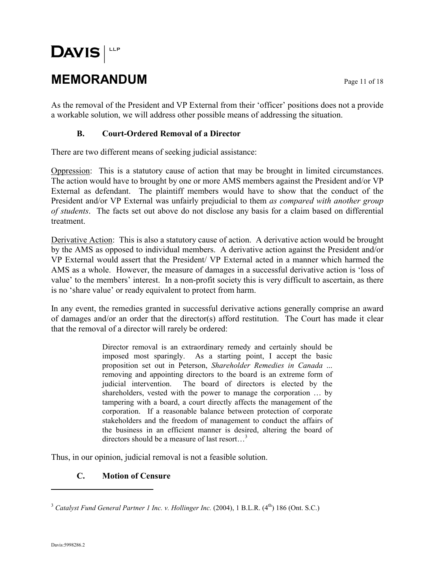# **DAVIS MEMORANDUM** Page 11 of 18

As the removal of the President and VP External from their 'officer' positions does not a provide a workable solution, we will address other possible means of addressing the situation.

#### **B. Court-Ordered Removal of a Director**

There are two different means of seeking judicial assistance:

Oppression: This is a statutory cause of action that may be brought in limited circumstances. The action would have to brought by one or more AMS members against the President and/or VP External as defendant. The plaintiff members would have to show that the conduct of the President and/or VP External was unfairly prejudicial to them *as compared with another group of students*. The facts set out above do not disclose any basis for a claim based on differential treatment.

Derivative Action: This is also a statutory cause of action. A derivative action would be brought by the AMS as opposed to individual members. A derivative action against the President and/or VP External would assert that the President/ VP External acted in a manner which harmed the AMS as a whole. However, the measure of damages in a successful derivative action is 'loss of value' to the members' interest. In a non-profit society this is very difficult to ascertain, as there is no 'share value' or ready equivalent to protect from harm.

In any event, the remedies granted in successful derivative actions generally comprise an award of damages and/or an order that the director(s) afford restitution. The Court has made it clear that the removal of a director will rarely be ordered:

> Director removal is an extraordinary remedy and certainly should be imposed most sparingly. As a starting point, I accept the basic proposition set out in Peterson, *Shareholder Remedies in Canada* ... removing and appointing directors to the board is an extreme form of judicial intervention. The board of directors is elected by the shareholders, vested with the power to manage the corporation … by tampering with a board, a court directly affects the management of the corporation. If a reasonable balance between protection of corporate stakeholders and the freedom of management to conduct the affairs of the business in an efficient manner is desired, altering the board of directors should be a measure of last resort…<sup>3</sup>

Thus, in our opinion, judicial removal is not a feasible solution.

#### **C. Motion of Censure**

<sup>&</sup>lt;sup>3</sup> Catalyst Fund General Partner 1 Inc. v. Hollinger Inc. (2004), 1 B.L.R. (4<sup>th</sup>) 186 (Ont. S.C.)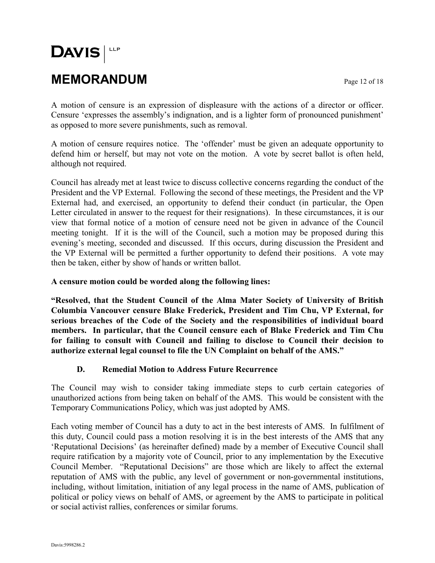# $DAVIS$ **MEMORANDUM** Page 12 of 18

A motion of censure is an expression of displeasure with the actions of a director or officer. Censure 'expresses the assembly's indignation, and is a lighter form of pronounced punishment' as opposed to more severe punishments, such as removal.

A motion of censure requires notice. The 'offender' must be given an adequate opportunity to defend him or herself, but may not vote on the motion. A vote by secret ballot is often held, although not required.

Council has already met at least twice to discuss collective concerns regarding the conduct of the President and the VP External. Following the second of these meetings, the President and the VP External had, and exercised, an opportunity to defend their conduct (in particular, the Open Letter circulated in answer to the request for their resignations). In these circumstances, it is our view that formal notice of a motion of censure need not be given in advance of the Council meeting tonight. If it is the will of the Council, such a motion may be proposed during this evening's meeting, seconded and discussed. If this occurs, during discussion the President and the VP External will be permitted a further opportunity to defend their positions. A vote may then be taken, either by show of hands or written ballot.

**A censure motion could be worded along the following lines:**

**"Resolved, that the Student Council of the Alma Mater Society of University of British Columbia Vancouver censure Blake Frederick, President and Tim Chu, VP External, for serious breaches of the Code of the Society and the responsibilities of individual board members. In particular, that the Council censure each of Blake Frederick and Tim Chu for failing to consult with Council and failing to disclose to Council their decision to authorize external legal counsel to file the UN Complaint on behalf of the AMS."**

#### **D. Remedial Motion to Address Future Recurrence**

The Council may wish to consider taking immediate steps to curb certain categories of unauthorized actions from being taken on behalf of the AMS. This would be consistent with the Temporary Communications Policy, which was just adopted by AMS.

Each voting member of Council has a duty to act in the best interests of AMS. In fulfilment of this duty, Council could pass a motion resolving it is in the best interests of the AMS that any 'Reputational Decisions' (as hereinafter defined) made by a member of Executive Council shall require ratification by a majority vote of Council, prior to any implementation by the Executive Council Member. "Reputational Decisions" are those which are likely to affect the external reputation of AMS with the public, any level of government or non-governmental institutions, including, without limitation, initiation of any legal process in the name of AMS, publication of political or policy views on behalf of AMS, or agreement by the AMS to participate in political or social activist rallies, conferences or similar forums.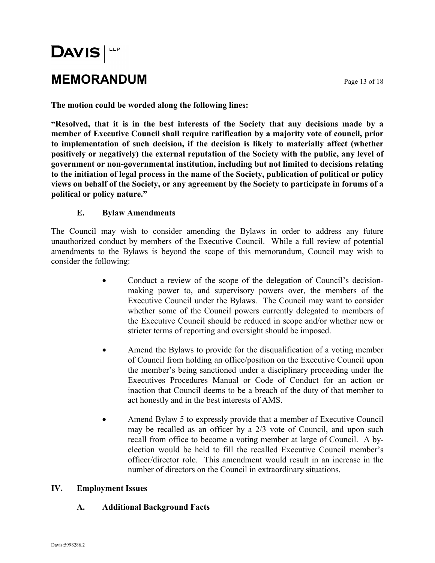### **MEMORANDUM** Page 13 of 18

**The motion could be worded along the following lines:**

**"Resolved, that it is in the best interests of the Society that any decisions made by a member of Executive Council shall require ratification by a majority vote of council, prior to implementation of such decision, if the decision is likely to materially affect (whether positively or negatively) the external reputation of the Society with the public, any level of government or non-governmental institution, including but not limited to decisions relating to the initiation of legal process in the name of the Society, publication of political or policy views on behalf of the Society, or any agreement by the Society to participate in forums of a political or policy nature."**

#### **E. Bylaw Amendments**

The Council may wish to consider amending the Bylaws in order to address any future unauthorized conduct by members of the Executive Council. While a full review of potential amendments to the Bylaws is beyond the scope of this memorandum, Council may wish to consider the following:

- Conduct a review of the scope of the delegation of Council's decisionmaking power to, and supervisory powers over, the members of the Executive Council under the Bylaws. The Council may want to consider whether some of the Council powers currently delegated to members of the Executive Council should be reduced in scope and/or whether new or stricter terms of reporting and oversight should be imposed.
- Amend the Bylaws to provide for the disqualification of a voting member of Council from holding an office/position on the Executive Council upon the member's being sanctioned under a disciplinary proceeding under the Executives Procedures Manual or Code of Conduct for an action or inaction that Council deems to be a breach of the duty of that member to act honestly and in the best interests of AMS.
- Amend Bylaw 5 to expressly provide that a member of Executive Council may be recalled as an officer by a 2/3 vote of Council, and upon such recall from office to become a voting member at large of Council. A byelection would be held to fill the recalled Executive Council member's officer/director role. This amendment would result in an increase in the number of directors on the Council in extraordinary situations.

#### **IV. Employment Issues**

#### **A. Additional Background Facts**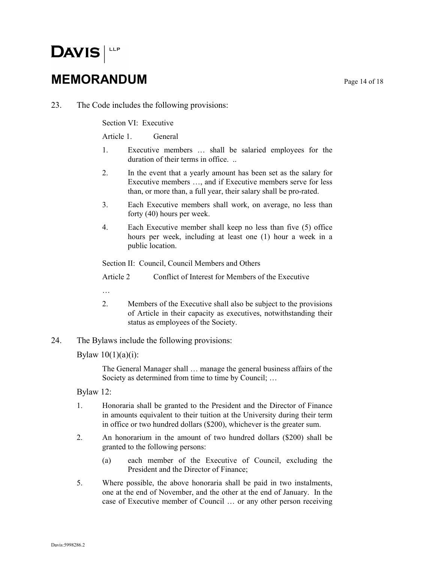### **MEMORANDUM** Page 14 of 18

23. The Code includes the following provisions:

Section VI: Executive

Article 1. General

- 1. Executive members … shall be salaried employees for the duration of their terms in office. ..
- 2. In the event that a yearly amount has been set as the salary for Executive members …, and if Executive members serve for less than, or more than, a full year, their salary shall be pro-rated.
- 3. Each Executive members shall work, on average, no less than forty (40) hours per week.
- 4. Each Executive member shall keep no less than five (5) office hours per week, including at least one (1) hour a week in a public location.

Section II: Council, Council Members and Others

Article 2 Conflict of Interest for Members of the Executive

- …
- 2. Members of the Executive shall also be subject to the provisions of Article in their capacity as executives, notwithstanding their status as employees of the Society.
- 24. The Bylaws include the following provisions:

Bylaw  $10(1)(a)(i)$ :

The General Manager shall … manage the general business affairs of the Society as determined from time to time by Council; …

Bylaw 12:

- 1. Honoraria shall be granted to the President and the Director of Finance in amounts equivalent to their tuition at the University during their term in office or two hundred dollars (\$200), whichever is the greater sum.
- 2. An honorarium in the amount of two hundred dollars (\$200) shall be granted to the following persons:
	- (a) each member of the Executive of Council, excluding the President and the Director of Finance;
- 5. Where possible, the above honoraria shall be paid in two instalments, one at the end of November, and the other at the end of January. In the case of Executive member of Council … or any other person receiving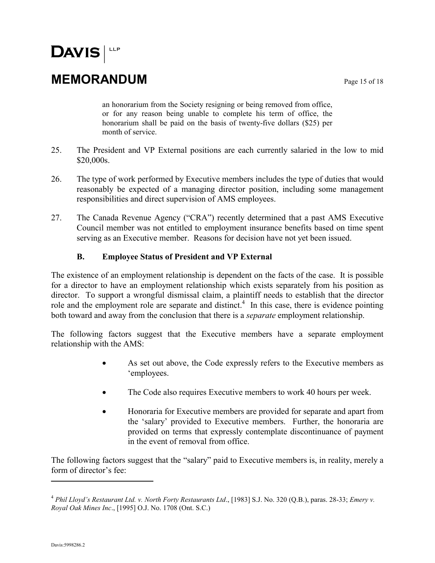### **MEMORANDUM** Page 15 of 18

an honorarium from the Society resigning or being removed from office, or for any reason being unable to complete his term of office, the honorarium shall be paid on the basis of twenty-five dollars (\$25) per month of service.

- 25. The President and VP External positions are each currently salaried in the low to mid \$20,000s.
- 26. The type of work performed by Executive members includes the type of duties that would reasonably be expected of a managing director position, including some management responsibilities and direct supervision of AMS employees.
- 27. The Canada Revenue Agency ("CRA") recently determined that a past AMS Executive Council member was not entitled to employment insurance benefits based on time spent serving as an Executive member. Reasons for decision have not yet been issued.

#### **B. Employee Status of President and VP External**

The existence of an employment relationship is dependent on the facts of the case. It is possible for a director to have an employment relationship which exists separately from his position as director. To support a wrongful dismissal claim, a plaintiff needs to establish that the director role and the employment role are separate and distinct.<sup>4</sup> In this case, there is evidence pointing both toward and away from the conclusion that there is a *separate* employment relationship.

The following factors suggest that the Executive members have a separate employment relationship with the AMS:

- As set out above, the Code expressly refers to the Executive members as 'employees.
- The Code also requires Executive members to work 40 hours per week.
- Honoraria for Executive members are provided for separate and apart from the 'salary' provided to Executive members. Further, the honoraria are provided on terms that expressly contemplate discontinuance of payment in the event of removal from office.

The following factors suggest that the "salary" paid to Executive members is, in reality, merely a form of director's fee:

<sup>4</sup> *Phil Lloyd's Restaurant Ltd. v. North Forty Restaurants Ltd*., [1983] S.J. No. 320 (Q.B.), paras. 28-33; *Emery v. Royal Oak Mines Inc*., [1995] O.J. No. 1708 (Ont. S.C.)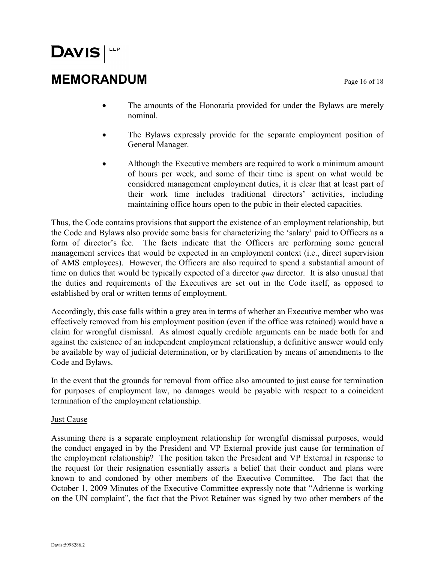### **MEMORANDUM** Page 16 of 18

- The amounts of the Honoraria provided for under the Bylaws are merely nominal.
- The Bylaws expressly provide for the separate employment position of General Manager.
- Although the Executive members are required to work a minimum amount of hours per week, and some of their time is spent on what would be considered management employment duties, it is clear that at least part of their work time includes traditional directors' activities, including maintaining office hours open to the pubic in their elected capacities.

Thus, the Code contains provisions that support the existence of an employment relationship, but the Code and Bylaws also provide some basis for characterizing the 'salary' paid to Officers as a form of director's fee. The facts indicate that the Officers are performing some general management services that would be expected in an employment context (i.e., direct supervision of AMS employees). However, the Officers are also required to spend a substantial amount of time on duties that would be typically expected of a director *qua* director. It is also unusual that the duties and requirements of the Executives are set out in the Code itself, as opposed to established by oral or written terms of employment.

Accordingly, this case falls within a grey area in terms of whether an Executive member who was effectively removed from his employment position (even if the office was retained) would have a claim for wrongful dismissal. As almost equally credible arguments can be made both for and against the existence of an independent employment relationship, a definitive answer would only be available by way of judicial determination, or by clarification by means of amendments to the Code and Bylaws.

In the event that the grounds for removal from office also amounted to just cause for termination for purposes of employment law, no damages would be payable with respect to a coincident termination of the employment relationship.

#### Just Cause

Assuming there is a separate employment relationship for wrongful dismissal purposes, would the conduct engaged in by the President and VP External provide just cause for termination of the employment relationship? The position taken the President and VP External in response to the request for their resignation essentially asserts a belief that their conduct and plans were known to and condoned by other members of the Executive Committee. The fact that the October 1, 2009 Minutes of the Executive Committee expressly note that "Adrienne is working on the UN complaint", the fact that the Pivot Retainer was signed by two other members of the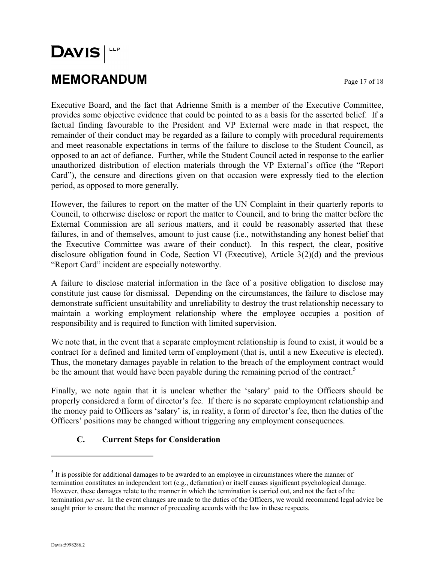# **DAVIS MEMORANDUM** Page 17 of 18

Executive Board, and the fact that Adrienne Smith is a member of the Executive Committee, provides some objective evidence that could be pointed to as a basis for the asserted belief. If a factual finding favourable to the President and VP External were made in that respect, the remainder of their conduct may be regarded as a failure to comply with procedural requirements and meet reasonable expectations in terms of the failure to disclose to the Student Council, as opposed to an act of defiance. Further, while the Student Council acted in response to the earlier unauthorized distribution of election materials through the VP External's office (the "Report Card"), the censure and directions given on that occasion were expressly tied to the election period, as opposed to more generally.

However, the failures to report on the matter of the UN Complaint in their quarterly reports to Council, to otherwise disclose or report the matter to Council, and to bring the matter before the External Commission are all serious matters, and it could be reasonably asserted that these failures, in and of themselves, amount to just cause (i.e., notwithstanding any honest belief that the Executive Committee was aware of their conduct).In this respect, the clear, positive disclosure obligation found in Code, Section VI (Executive), Article 3(2)(d) and the previous "Report Card" incident are especially noteworthy.

A failure to disclose material information in the face of a positive obligation to disclose may constitute just cause for dismissal. Depending on the circumstances, the failure to disclose may demonstrate sufficient unsuitability and unreliability to destroy the trust relationship necessary to maintain a working employment relationship where the employee occupies a position of responsibility and is required to function with limited supervision.

We note that, in the event that a separate employment relationship is found to exist, it would be a contract for a defined and limited term of employment (that is, until a new Executive is elected). Thus, the monetary damages payable in relation to the breach of the employment contract would be the amount that would have been payable during the remaining period of the contract.<sup>5</sup>

Finally, we note again that it is unclear whether the 'salary' paid to the Officers should be properly considered a form of director's fee. If there is no separate employment relationship and the money paid to Officers as 'salary' is, in reality, a form of director's fee, then the duties of the Officers' positions may be changed without triggering any employment consequences.

#### **C. Current Steps for Consideration**

 $<sup>5</sup>$  It is possible for additional damages to be awarded to an employee in circumstances where the manner of</sup> termination constitutes an independent tort (e.g., defamation) or itself causes significant psychological damage. However, these damages relate to the manner in which the termination is carried out, and not the fact of the termination *per se*. In the event changes are made to the duties of the Officers, we would recommend legal advice be sought prior to ensure that the manner of proceeding accords with the law in these respects.